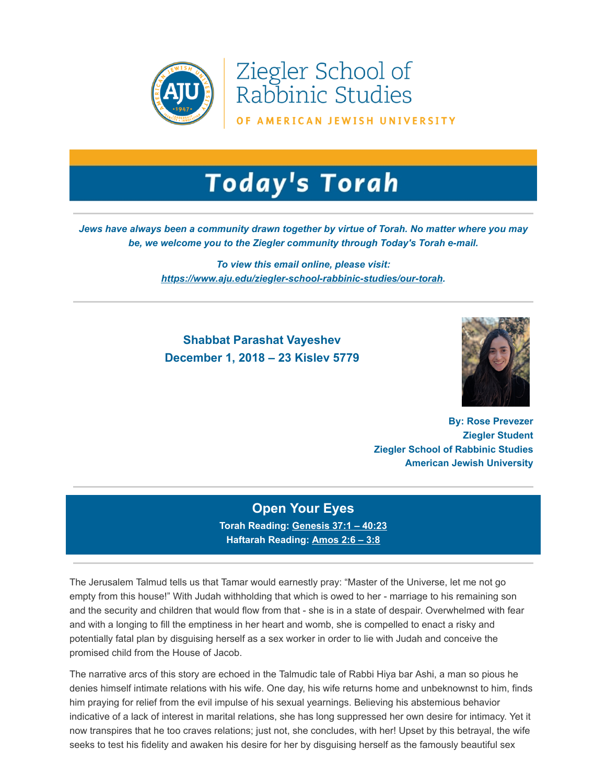

Ziegler School of Rabbinic Studies

OF AMERICAN JEWISH UNIVERSITY

# **Today's Torah**

#### *Jews have always been a community drawn together by virtue of Torah. No matter where you may be, we welcome you to the Ziegler community through Today's Torah e-mail.*

*To view this email online, please visit: [https://www.aju.edu/ziegler-school-rabbinic-studies/our-torah.](https://t.e2ma.net/click/g6v9z/sziwr0/o0cxvi)*

## **Shabbat Parashat Vayeshev December 1, 2018 – 23 Kislev 5779**



**By: Rose Prevezer Ziegler Student Ziegler School of Rabbinic Studies American Jewish University**

## **Open Your Eyes**

**Torah Reading: [Genesis 37:1 – 40:23](https://t.e2ma.net/click/g6v9z/sziwr0/4sdxvi) Haftarah Reading: [Amos 2:6 – 3:8](https://t.e2ma.net/click/g6v9z/sziwr0/0dfxvi)**

The Jerusalem Talmud tells us that Tamar would earnestly pray: "Master of the Universe, let me not go empty from this house!" With Judah withholding that which is owed to her - marriage to his remaining son and the security and children that would flow from that - she is in a state of despair. Overwhelmed with fear and with a longing to fill the emptiness in her heart and womb, she is compelled to enact a risky and potentially fatal plan by disguising herself as a sex worker in order to lie with Judah and conceive the promised child from the House of Jacob.

The narrative arcs of this story are echoed in the Talmudic tale of Rabbi Hiya bar Ashi, a man so pious he denies himself intimate relations with his wife. One day, his wife returns home and unbeknownst to him, finds him praying for relief from the evil impulse of his sexual yearnings. Believing his abstemious behavior indicative of a lack of interest in marital relations, she has long suppressed her own desire for intimacy. Yet it now transpires that he too craves relations; just not, she concludes, with her! Upset by this betrayal, the wife seeks to test his fidelity and awaken his desire for her by disguising herself as the famously beautiful sex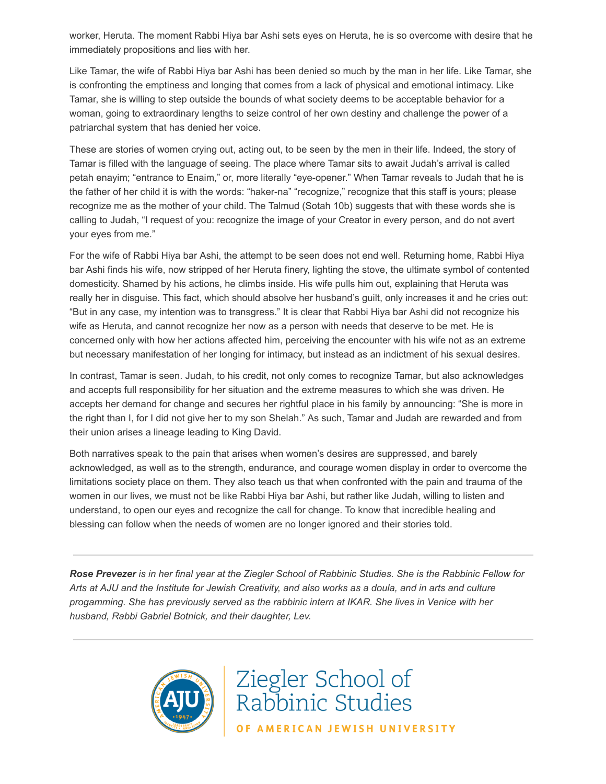worker, Heruta. The moment Rabbi Hiya bar Ashi sets eyes on Heruta, he is so overcome with desire that he immediately propositions and lies with her.

Like Tamar, the wife of Rabbi Hiya bar Ashi has been denied so much by the man in her life. Like Tamar, she is confronting the emptiness and longing that comes from a lack of physical and emotional intimacy. Like Tamar, she is willing to step outside the bounds of what society deems to be acceptable behavior for a woman, going to extraordinary lengths to seize control of her own destiny and challenge the power of a patriarchal system that has denied her voice.

These are stories of women crying out, acting out, to be seen by the men in their life. Indeed, the story of Tamar is filled with the language of seeing. The place where Tamar sits to await Judah's arrival is called petah enayim; "entrance to Enaim," or, more literally "eye-opener." When Tamar reveals to Judah that he is the father of her child it is with the words: "haker-na" "recognize," recognize that this staff is yours; please recognize me as the mother of your child. The Talmud (Sotah 10b) suggests that with these words she is calling to Judah, "I request of you: recognize the image of your Creator in every person, and do not avert your eyes from me."

For the wife of Rabbi Hiya bar Ashi, the attempt to be seen does not end well. Returning home, Rabbi Hiya bar Ashi finds his wife, now stripped of her Heruta finery, lighting the stove, the ultimate symbol of contented domesticity. Shamed by his actions, he climbs inside. His wife pulls him out, explaining that Heruta was really her in disguise. This fact, which should absolve her husband's guilt, only increases it and he cries out: "But in any case, my intention was to transgress." It is clear that Rabbi Hiya bar Ashi did not recognize his wife as Heruta, and cannot recognize her now as a person with needs that deserve to be met. He is concerned only with how her actions affected him, perceiving the encounter with his wife not as an extreme but necessary manifestation of her longing for intimacy, but instead as an indictment of his sexual desires.

In contrast, Tamar is seen. Judah, to his credit, not only comes to recognize Tamar, but also acknowledges and accepts full responsibility for her situation and the extreme measures to which she was driven. He accepts her demand for change and secures her rightful place in his family by announcing: "She is more in the right than I, for I did not give her to my son Shelah." As such, Tamar and Judah are rewarded and from their union arises a lineage leading to King David.

Both narratives speak to the pain that arises when women's desires are suppressed, and barely acknowledged, as well as to the strength, endurance, and courage women display in order to overcome the limitations society place on them. They also teach us that when confronted with the pain and trauma of the women in our lives, we must not be like Rabbi Hiya bar Ashi, but rather like Judah, willing to listen and understand, to open our eyes and recognize the call for change. To know that incredible healing and blessing can follow when the needs of women are no longer ignored and their stories told.

*Rose Prevezer is in her final year at the Ziegler School of Rabbinic Studies. She is the Rabbinic Fellow for Arts at AJU and the Institute for Jewish Creativity, and also works as a doula, and in arts and culture progamming. She has previously served as the rabbinic intern at IKAR. She lives in Venice with her husband, Rabbi Gabriel Botnick, and their daughter, Lev.*



Ziegler School of<br>Rabbinic Studies OF AMERICAN JEWISH UNIVERSITY